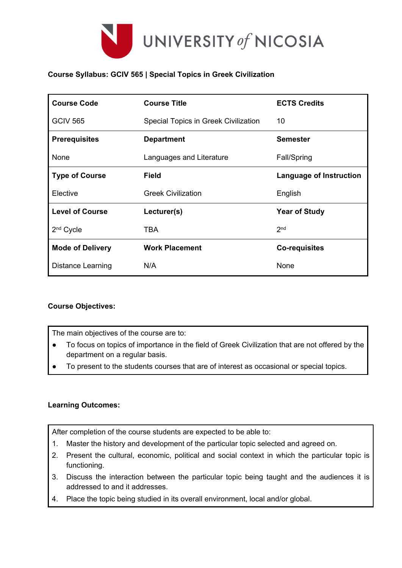

## **Course Syllabus: GCIV 565 | Special Topics in Greek Civilization**

| <b>Course Code</b>      | <b>Course Title</b>                  | <b>ECTS Credits</b>            |  |
|-------------------------|--------------------------------------|--------------------------------|--|
| <b>GCIV 565</b>         | Special Topics in Greek Civilization | 10                             |  |
| <b>Prerequisites</b>    | <b>Department</b>                    | <b>Semester</b>                |  |
| None                    | Languages and Literature             | <b>Fall/Spring</b>             |  |
| <b>Type of Course</b>   | <b>Field</b>                         | <b>Language of Instruction</b> |  |
| Elective                | <b>Greek Civilization</b>            | English                        |  |
| <b>Level of Course</b>  | Lecturer(s)                          | <b>Year of Study</b>           |  |
| 2 <sup>nd</sup> Cycle   | TBA                                  | 2 <sub>nd</sub>                |  |
| <b>Mode of Delivery</b> | <b>Work Placement</b>                | <b>Co-requisites</b>           |  |
| Distance Learning       | N/A                                  | None                           |  |

### **Course Objectives:**

The main objectives of the course are to:

- To focus on topics of importance in the field of Greek Civilization that are not offered by the department on a regular basis.
- To present to the students courses that are of interest as occasional or special topics.

#### **Learning Outcomes:**

After completion of the course students are expected to be able to:

- 1. Master the history and development of the particular topic selected and agreed on.
- 2. Present the cultural, economic, political and social context in which the particular topic is functioning.
- 3. Discuss the interaction between the particular topic being taught and the audiences it is addressed to and it addresses.
- 4. Place the topic being studied in its overall environment, local and/or global.